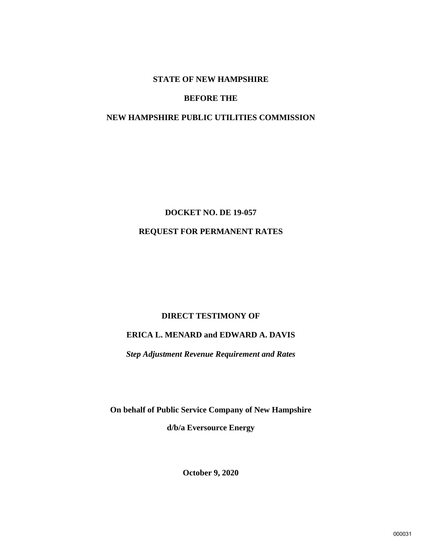## **STATE OF NEW HAMPSHIRE**

## **BEFORE THE**

## **NEW HAMPSHIRE PUBLIC UTILITIES COMMISSION**

# **DOCKET NO. DE 19-057 REQUEST FOR PERMANENT RATES**

## **DIRECT TESTIMONY OF**

# **ERICA L. MENARD and EDWARD A. DAVIS**

*Step Adjustment Revenue Requirement and Rates*

**On behalf of Public Service Company of New Hampshire d/b/a Eversource Energy**

**October 9, 2020**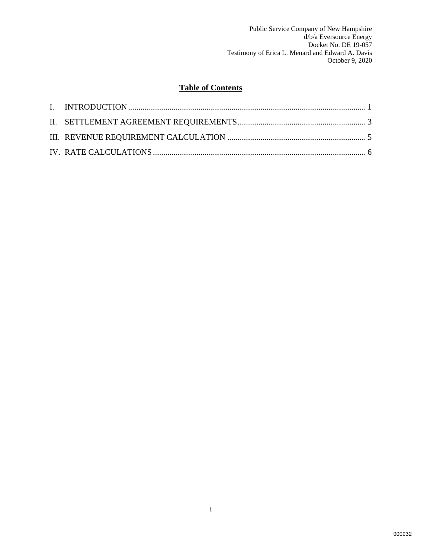# **Table of Contents**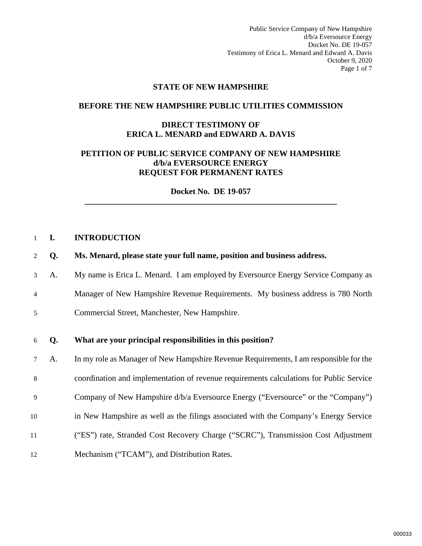Public Service Company of New Hampshire d/b/a Eversource Energy Docket No. DE 19-057 Testimony of Erica L. Menard and Edward A. Davis October 9, 2020 Page 1 of 7

#### **STATE OF NEW HAMPSHIRE**

#### **BEFORE THE NEW HAMPSHIRE PUBLIC UTILITIES COMMISSION**

## **DIRECT TESTIMONY OF ERICA L. MENARD and EDWARD A. DAVIS**

## **PETITION OF PUBLIC SERVICE COMPANY OF NEW HAMPSHIRE d/b/a EVERSOURCE ENERGY REQUEST FOR PERMANENT RATES**

**Docket No. DE 19-057 \_\_\_\_\_\_\_\_\_\_\_\_\_\_\_\_\_\_\_\_\_\_\_\_\_\_\_\_\_\_\_\_\_\_\_\_\_\_\_\_\_\_\_\_\_\_\_\_\_\_\_\_\_\_\_\_\_\_\_\_\_** 

#### <span id="page-2-0"></span>1 **I. INTRODUCTION**

- 2 **Q. Ms. Menard, please state your full name, position and business address.**
- 3 A. My name is Erica L. Menard. I am employed by Eversource Energy Service Company as 4 Manager of New Hampshire Revenue Requirements. My business address is 780 North
- 5 Commercial Street, Manchester, New Hampshire.

#### 6 **Q. What are your principal responsibilities in this position?**

7 A. In my role as Manager of New Hampshire Revenue Requirements, I am responsible for the 8 coordination and implementation of revenue requirements calculations for Public Service 9 Company of New Hampshire d/b/a Eversource Energy ("Eversource" or the "Company") 10 in New Hampshire as well as the filings associated with the Company's Energy Service 11 ("ES") rate, Stranded Cost Recovery Charge ("SCRC"), Transmission Cost Adjustment 12 Mechanism ("TCAM"), and Distribution Rates.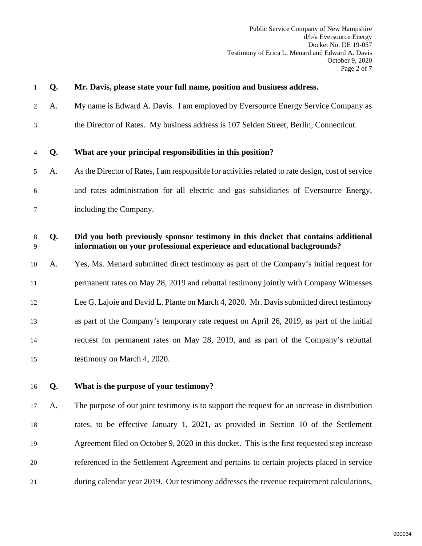| 1      | Q. | Mr. Davis, please state your full name, position and business address.                                                                                        |
|--------|----|---------------------------------------------------------------------------------------------------------------------------------------------------------------|
| 2      | A. | My name is Edward A. Davis. I am employed by Eversource Energy Service Company as                                                                             |
| 3      |    | the Director of Rates. My business address is 107 Selden Street, Berlin, Connecticut.                                                                         |
| 4      | Q. | What are your principal responsibilities in this position?                                                                                                    |
| 5      | A. | As the Director of Rates, I am responsible for activities related to rate design, cost of service                                                             |
| 6      |    | and rates administration for all electric and gas subsidiaries of Eversource Energy,                                                                          |
| 7      |    | including the Company.                                                                                                                                        |
| 8<br>9 | Q. | Did you both previously sponsor testimony in this docket that contains additional<br>information on your professional experience and educational backgrounds? |
| 10     | A. | Yes, Ms. Menard submitted direct testimony as part of the Company's initial request for                                                                       |
| 11     |    | permanent rates on May 28, 2019 and rebuttal testimony jointly with Company Witnesses                                                                         |
| 12     |    | Lee G. Lajoie and David L. Plante on March 4, 2020. Mr. Davis submitted direct testimony                                                                      |
| 13     |    | as part of the Company's temporary rate request on April 26, 2019, as part of the initial                                                                     |
| 14     |    | request for permanent rates on May 28, 2019, and as part of the Company's rebuttal                                                                            |
| 15     |    | testimony on March 4, 2020.                                                                                                                                   |
| 16     | Q. | What is the purpose of your testimony?                                                                                                                        |
| 17     | A. | The purpose of our joint testimony is to support the request for an increase in distribution                                                                  |
| 18     |    | rates, to be effective January 1, 2021, as provided in Section 10 of the Settlement                                                                           |
| 19     |    | Agreement filed on October 9, 2020 in this docket. This is the first requested step increase                                                                  |
| 20     |    | referenced in the Settlement Agreement and pertains to certain projects placed in service                                                                     |
| 21     |    | during calendar year 2019. Our testimony addresses the revenue requirement calculations,                                                                      |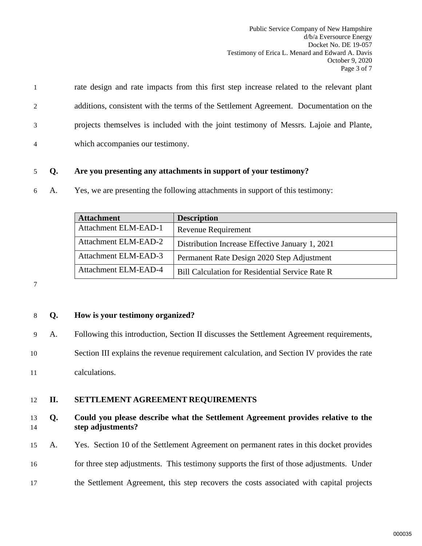1 rate design and rate impacts from this first step increase related to the relevant plant 2 additions, consistent with the terms of the Settlement Agreement. Documentation on the 3 projects themselves is included with the joint testimony of Messrs. Lajoie and Plante, 4 which accompanies our testimony.

## 5 **Q. Are you presenting any attachments in support of your testimony?**

6 A. Yes, we are presenting the following attachments in support of this testimony:

| <b>Attachment</b>    | <b>Description</b>                                     |
|----------------------|--------------------------------------------------------|
| Attachment ELM-EAD-1 | <b>Revenue Requirement</b>                             |
| Attachment ELM-EAD-2 | Distribution Increase Effective January 1, 2021        |
| Attachment ELM-EAD-3 | Permanent Rate Design 2020 Step Adjustment             |
| Attachment ELM-EAD-4 | <b>Bill Calculation for Residential Service Rate R</b> |

7

## 8 **Q. How is your testimony organized?**

- 9 A. Following this introduction, Section II discusses the Settlement Agreement requirements,
- 10 Section III explains the revenue requirement calculation, and Section IV provides the rate

11 calculations.

## <span id="page-4-0"></span>12 **II. SETTLEMENT AGREEMENT REQUIREMENTS**

## 13 **Q. Could you please describe what the Settlement Agreement provides relative to the**  14 **step adjustments?**

- 15 A. Yes. Section 10 of the Settlement Agreement on permanent rates in this docket provides
- 16 for three step adjustments. This testimony supports the first of those adjustments. Under
- 17 the Settlement Agreement, this step recovers the costs associated with capital projects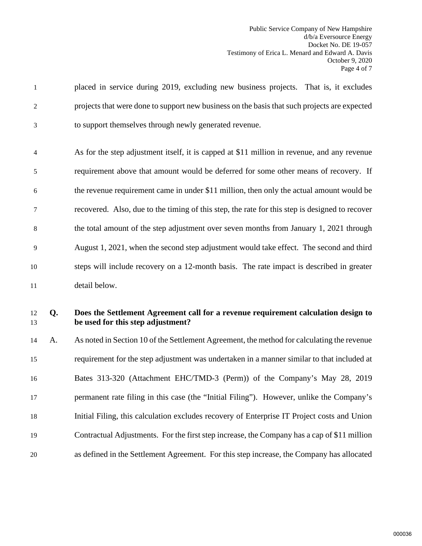| 12<br>13 | Q. | Does the Settlement Agreement call for a revenue requirement calculation design to<br>be used for this step adjustment? |
|----------|----|-------------------------------------------------------------------------------------------------------------------------|
| 11       |    | detail below.                                                                                                           |
|          |    |                                                                                                                         |
| 10       |    | steps will include recovery on a 12-month basis. The rate impact is described in greater                                |
| 9        |    | August 1, 2021, when the second step adjustment would take effect. The second and third                                 |
| 8        |    | the total amount of the step adjustment over seven months from January 1, 2021 through                                  |
| 7        |    | recovered. Also, due to the timing of this step, the rate for this step is designed to recover                          |
| 6        |    | the revenue requirement came in under \$11 million, then only the actual amount would be                                |
| 5        |    | requirement above that amount would be deferred for some other means of recovery. If                                    |
| 4        |    | As for the step adjustment itself, it is capped at \$11 million in revenue, and any revenue                             |
| 3        |    | to support themselves through newly generated revenue.                                                                  |
|          |    |                                                                                                                         |
| 2        |    | projects that were done to support new business on the basis that such projects are expected                            |
| 1        |    | placed in service during 2019, excluding new business projects. That is, it excludes                                    |

 A. As noted in Section 10 of the Settlement Agreement, the method for calculating the revenue requirement for the step adjustment was undertaken in a manner similar to that included at Bates 313-320 (Attachment EHC/TMD-3 (Perm)) of the Company's May 28, 2019 permanent rate filing in this case (the "Initial Filing"). However, unlike the Company's Initial Filing, this calculation excludes recovery of Enterprise IT Project costs and Union Contractual Adjustments. For the first step increase, the Company has a cap of \$11 million as defined in the Settlement Agreement. For this step increase, the Company has allocated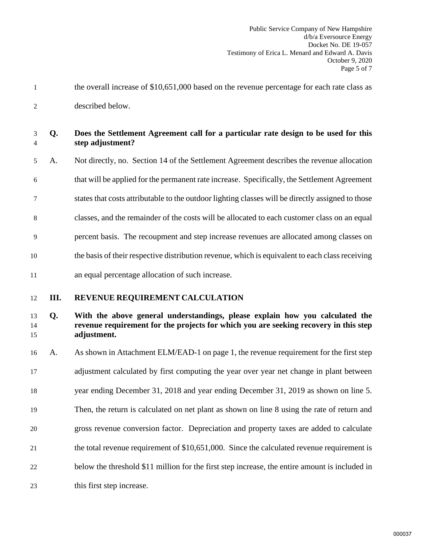1 the overall increase of \$10,651,000 based on the revenue percentage for each rate class as 2 described below.

|  | Does the Settlement Agreement call for a particular rate design to be used for this |
|--|-------------------------------------------------------------------------------------|
|  | step adjustment?                                                                    |

5 A. Not directly, no. Section 14 of the Settlement Agreement describes the revenue allocation 6 that will be applied for the permanent rate increase. Specifically, the Settlement Agreement 7 states that costs attributable to the outdoor lighting classes will be directly assigned to those 8 classes, and the remainder of the costs will be allocated to each customer class on an equal 9 percent basis. The recoupment and step increase revenues are allocated among classes on 10 the basis of their respective distribution revenue, which is equivalent to each class receiving 11 an equal percentage allocation of such increase.

## <span id="page-6-0"></span>12 **III. REVENUE REQUIREMENT CALCULATION**

## 13 **Q. With the above general understandings, please explain how you calculated the**  14 **revenue requirement for the projects for which you are seeking recovery in this step**  15 **adjustment.**

 A. As shown in Attachment ELM/EAD-1 on page 1, the revenue requirement for the first step adjustment calculated by first computing the year over year net change in plant between year ending December 31, 2018 and year ending December 31, 2019 as shown on line 5. Then, the return is calculated on net plant as shown on line 8 using the rate of return and gross revenue conversion factor. Depreciation and property taxes are added to calculate the total revenue requirement of \$10,651,000. Since the calculated revenue requirement is below the threshold \$11 million for the first step increase, the entire amount is included in 23 this first step increase.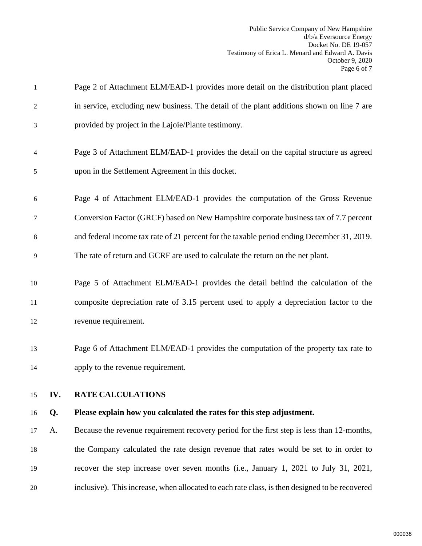<span id="page-7-0"></span>

| 1              |     | Page 2 of Attachment ELM/EAD-1 provides more detail on the distribution plant placed           |
|----------------|-----|------------------------------------------------------------------------------------------------|
| 2              |     | in service, excluding new business. The detail of the plant additions shown on line 7 are      |
| 3              |     | provided by project in the Lajoie/Plante testimony.                                            |
| $\overline{4}$ |     | Page 3 of Attachment ELM/EAD-1 provides the detail on the capital structure as agreed          |
| 5              |     | upon in the Settlement Agreement in this docket.                                               |
| 6              |     | Page 4 of Attachment ELM/EAD-1 provides the computation of the Gross Revenue                   |
| 7              |     | Conversion Factor (GRCF) based on New Hampshire corporate business tax of 7.7 percent          |
| 8              |     | and federal income tax rate of 21 percent for the taxable period ending December 31, 2019.     |
| 9              |     | The rate of return and GCRF are used to calculate the return on the net plant.                 |
| 10             |     | Page 5 of Attachment ELM/EAD-1 provides the detail behind the calculation of the               |
| 11             |     | composite depreciation rate of 3.15 percent used to apply a depreciation factor to the         |
| 12             |     | revenue requirement.                                                                           |
| 13             |     | Page 6 of Attachment ELM/EAD-1 provides the computation of the property tax rate to            |
| 14             |     | apply to the revenue requirement.                                                              |
| 15             | IV. | <b>RATE CALCULATIONS</b>                                                                       |
| 16             | Q.  | Please explain how you calculated the rates for this step adjustment.                          |
| 17             | A.  | Because the revenue requirement recovery period for the first step is less than 12-months,     |
| 18             |     | the Company calculated the rate design revenue that rates would be set to in order to          |
| 19             |     | recover the step increase over seven months (i.e., January 1, 2021 to July 31, 2021,           |
| 20             |     | inclusive). This increase, when allocated to each rate class, is then designed to be recovered |